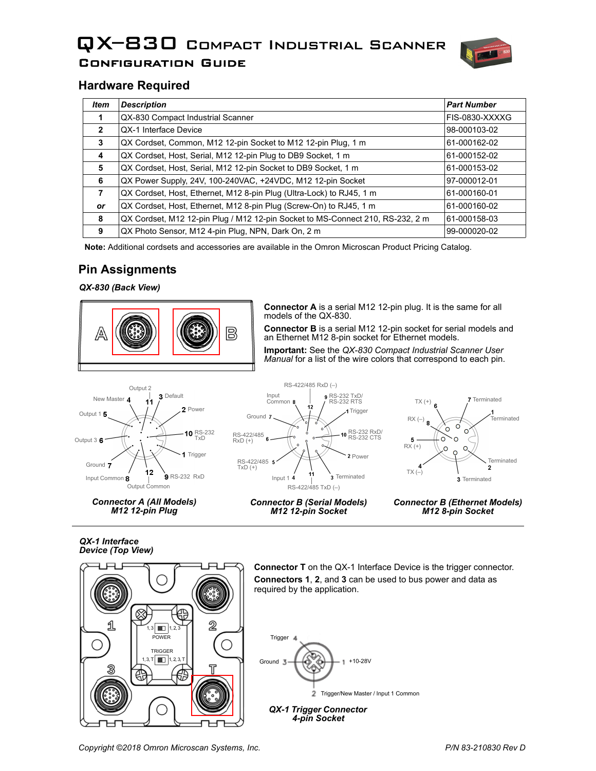# QX–830 Compact Industrial Scanner Configuration Guide



# **Hardware Required**

| <b>Item</b>  | <b>Description</b>                                                             | <b>Part Number</b> |
|--------------|--------------------------------------------------------------------------------|--------------------|
|              | QX-830 Compact Industrial Scanner                                              | FIS-0830-XXXXG     |
| $\mathbf{2}$ | QX-1 Interface Device                                                          | 98-000103-02       |
| 3            | QX Cordset, Common, M12 12-pin Socket to M12 12-pin Plug, 1 m                  | 61-000162-02       |
| 4            | QX Cordset, Host, Serial, M12 12-pin Plug to DB9 Socket, 1 m                   | 61-000152-02       |
| 5            | QX Cordset, Host, Serial, M12 12-pin Socket to DB9 Socket, 1 m                 | 61-000153-02       |
| 6            | QX Power Supply, 24V, 100-240VAC, +24VDC, M12 12-pin Socket                    | 97-000012-01       |
| 7            | QX Cordset, Host, Ethernet, M12 8-pin Plug (Ultra-Lock) to RJ45, 1 m           | 61-000160-01       |
| <b>or</b>    | QX Cordset, Host, Ethernet, M12 8-pin Plug (Screw-On) to RJ45, 1 m             | 61-000160-02       |
| 8            | QX Cordset, M12 12-pin Plug / M12 12-pin Socket to MS-Connect 210, RS-232, 2 m | 61-000158-03       |
| 9            | QX Photo Sensor, M12 4-pin Plug, NPN, Dark On, 2 m                             | 99-000020-02       |

**Note:** Additional cordsets and accessories are available in the Omron Microscan Product Pricing Catalog.

# **Pin Assignments**

*QX-830 (Back View)*



**Connector A** is a serial M12 12-pin plug. It is the same for all models of the QX-830.

**Connector B** is a serial M12 12-pin socket for serial models and an Ethernet M12 8-pin socket for Ethernet models.

**Important:** See the *QX-830 Compact Industrial Scanner User Manual* for a list of the wire colors that correspond to each pin.



*Connector A (All Models) M12 12-pin Plug*





*M12 12-pin Socket*



*Connector B (Ethernet Models) M12 8-pin Socket*

*QX-1 Interface Device (Top View)*



**Connector T** on the QX-1 Interface Device is the trigger connector. **Connectors 1**, **2**, and **3** can be used to bus power and data as required by the application.



*4-pin Socket*

*Copyright ©2018 Omron Microscan Systems, Inc. P/N 83-210830 Rev D*